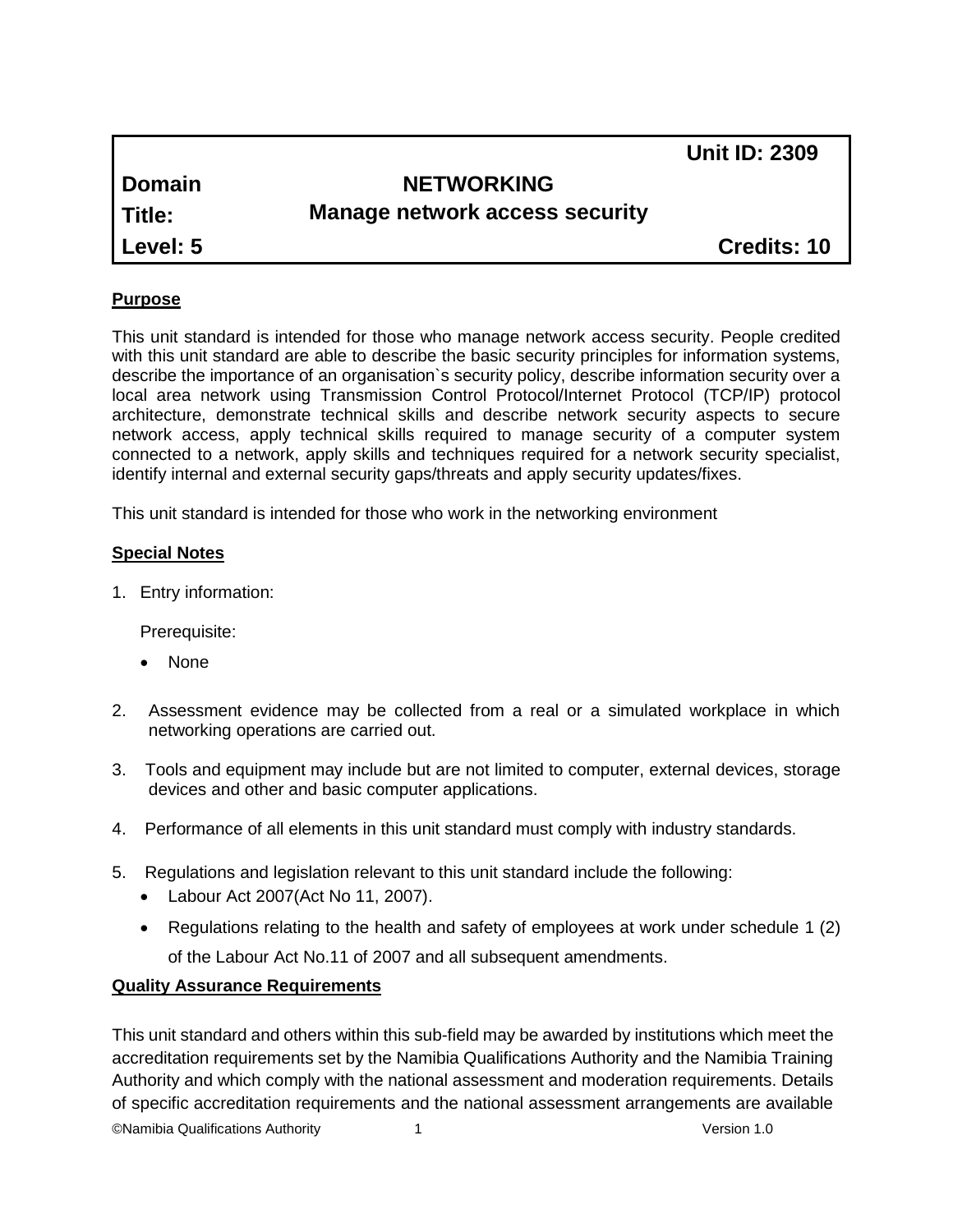|               |                                       | <b>Unit ID: 2309</b> |
|---------------|---------------------------------------|----------------------|
| <b>Domain</b> | <b>NETWORKING</b>                     |                      |
| Title:        | <b>Manage network access security</b> |                      |
| Level: 5      |                                       | <b>Credits: 10</b>   |
|               |                                       |                      |

#### **Purpose**

This unit standard is intended for those who manage network access security. People credited with this unit standard are able to describe the basic security principles for information systems, describe the importance of an organisation`s security policy, describe information security over a local area network using Transmission Control Protocol/Internet Protocol (TCP/IP) protocol architecture, demonstrate technical skills and describe network security aspects to secure network access, apply technical skills required to manage security of a computer system connected to a network, apply skills and techniques required for a network security specialist, identify internal and external security gaps/threats and apply security updates/fixes.

This unit standard is intended for those who work in the networking environment

#### **Special Notes**

1. Entry information:

Prerequisite:

- None
- 2. Assessment evidence may be collected from a real or a simulated workplace in which networking operations are carried out.
- 3. Tools and equipment may include but are not limited to computer, external devices, storage devices and other and basic computer applications.
- 4. Performance of all elements in this unit standard must comply with industry standards.
- 5. Regulations and legislation relevant to this unit standard include the following:
	- Labour Act 2007(Act No 11, 2007).
	- Regulations relating to the health and safety of employees at work under schedule 1 (2) of the Labour Act No.11 of 2007 and all subsequent amendments.

#### **Quality Assurance Requirements**

©Namibia Qualifications Authority 1 Version 1.0 This unit standard and others within this sub-field may be awarded by institutions which meet the accreditation requirements set by the Namibia Qualifications Authority and the Namibia Training Authority and which comply with the national assessment and moderation requirements. Details of specific accreditation requirements and the national assessment arrangements are available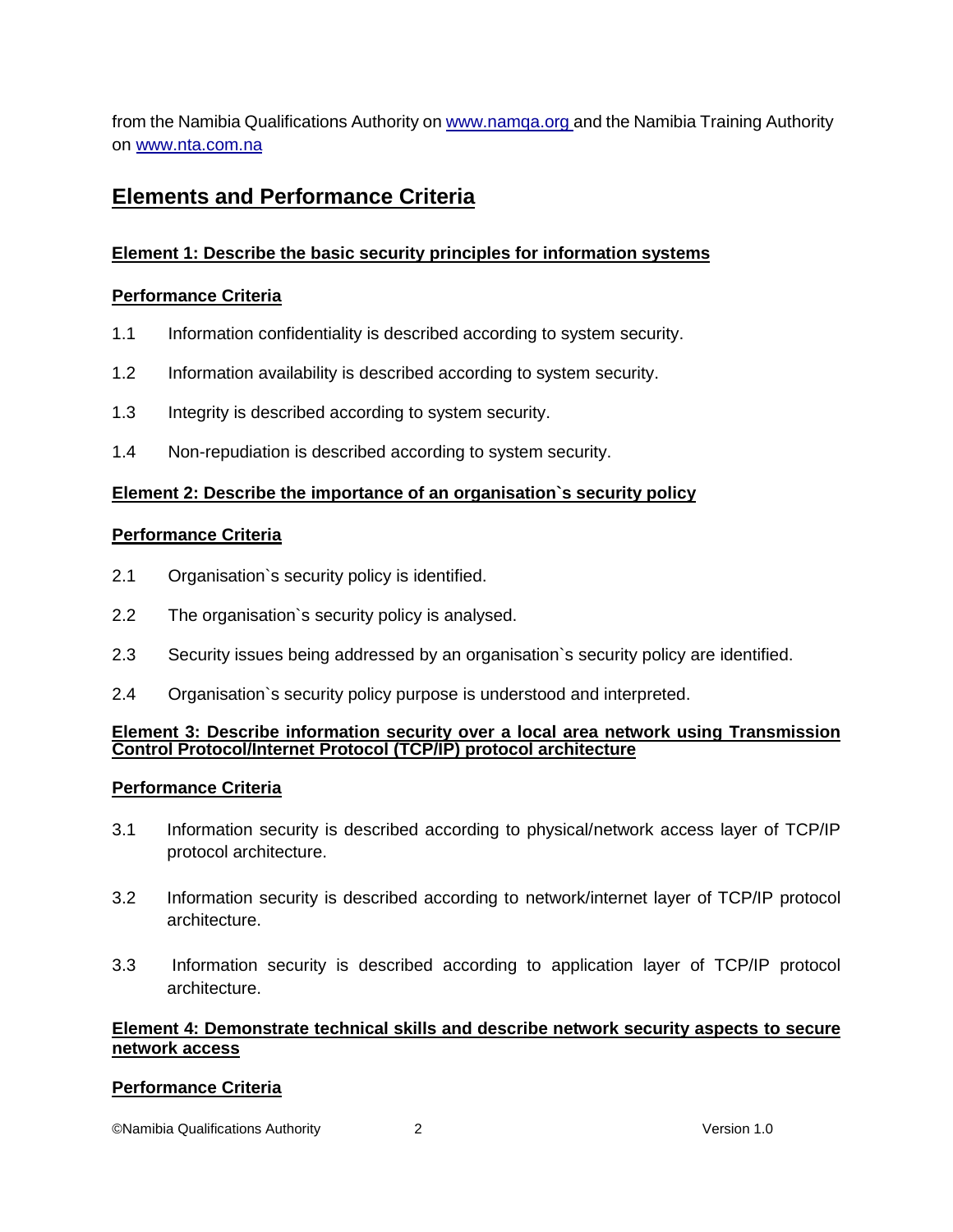from the Namibia Qualifications Authority o[n www.namqa.org a](http://www.namqa.org/)nd the Namibia Training Authority on [www.nta.com.na](http://www.nta.com.na/)

# **Elements and Performance Criteria**

# **Element 1: Describe the basic security principles for information systems**

#### **Performance Criteria**

- 1.1 Information confidentiality is described according to system security.
- 1.2 Information availability is described according to system security.
- 1.3 Integrity is described according to system security.
- 1.4 Non-repudiation is described according to system security.

#### **Element 2: Describe the importance of an organisation`s security policy**

#### **Performance Criteria**

- 2.1 Organisation`s security policy is identified.
- 2.2 The organisation`s security policy is analysed.
- 2.3 Security issues being addressed by an organisation`s security policy are identified.
- 2.4 Organisation`s security policy purpose is understood and interpreted.

#### **Element 3: Describe information security over a local area network using Transmission Control Protocol/Internet Protocol (TCP/IP) protocol architecture**

#### **Performance Criteria**

- 3.1 Information security is described according to physical/network access layer of TCP/IP protocol architecture.
- 3.2 Information security is described according to network/internet layer of TCP/IP protocol architecture.
- 3.3 Information security is described according to application layer of TCP/IP protocol architecture.

#### **Element 4: Demonstrate technical skills and describe network security aspects to secure network access**

#### **Performance Criteria**

©Namibia Qualifications Authority 2 Version 1.0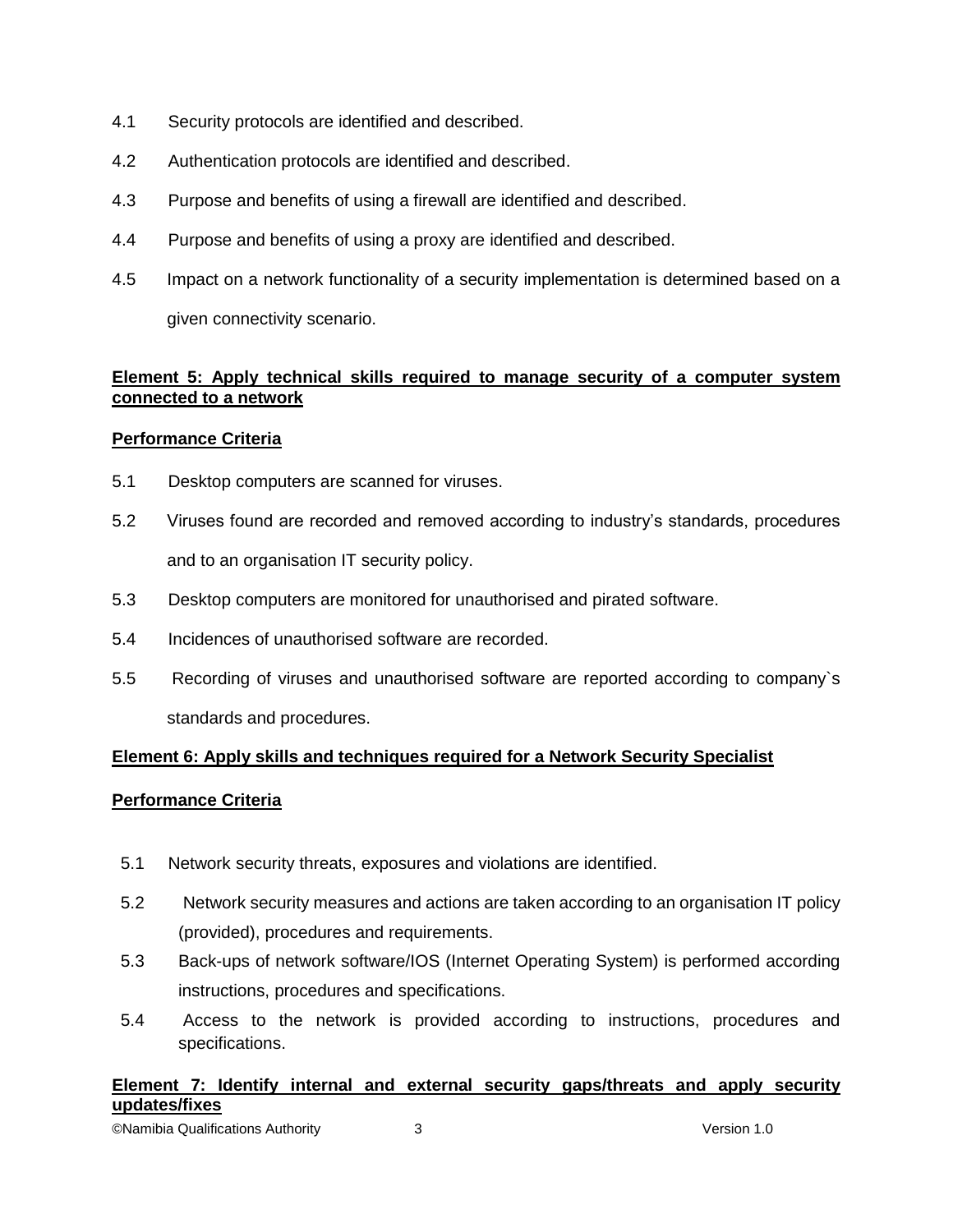- 4.1 Security protocols are identified and described.
- 4.2 Authentication protocols are identified and described.
- 4.3 Purpose and benefits of using a firewall are identified and described.
- 4.4 Purpose and benefits of using a proxy are identified and described.
- 4.5 Impact on a network functionality of a security implementation is determined based on a given connectivity scenario.

# **Element 5: Apply technical skills required to manage security of a computer system connected to a network**

#### **Performance Criteria**

- 5.1 Desktop computers are scanned for viruses.
- 5.2 Viruses found are recorded and removed according to industry's standards, procedures and to an organisation IT security policy.
- 5.3 Desktop computers are monitored for unauthorised and pirated software.
- 5.4 Incidences of unauthorised software are recorded.
- 5.5 Recording of viruses and unauthorised software are reported according to company`s standards and procedures.

## **Element 6: Apply skills and techniques required for a Network Security Specialist**

## **Performance Criteria**

- 5.1 Network security threats, exposures and violations are identified.
- 5.2 Network security measures and actions are taken according to an organisation IT policy (provided), procedures and requirements.
- 5.3 Back-ups of network software/IOS (Internet Operating System) is performed according instructions, procedures and specifications.
- 5.4 Access to the network is provided according to instructions, procedures and specifications.

# **Element 7: Identify internal and external security gaps/threats and apply security updates/fixes**